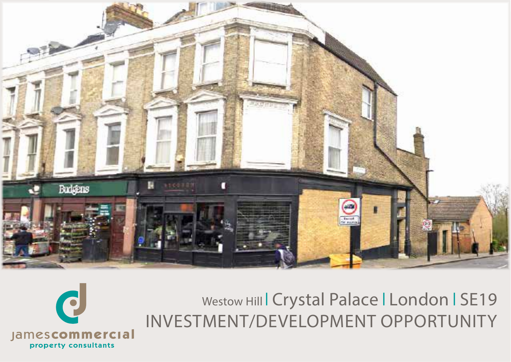

Westow Hill Crystal Palace | London | SE19 INVESTMENT/DEVELOPMENT OPPORTUNITY